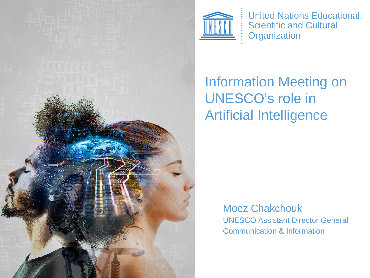



United Nations Educational, Scientific and Cultural **Organization** 

#### Information Meeting on UNESCO's role in Artificial Intelligence

Moez Chakchouk UNESCO Assistant Director General Communication & Information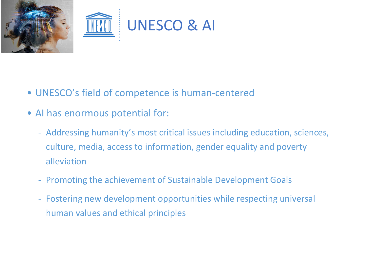

- UNESCO's field of competence is human-centered
- AI has enormous potential for:
	- Addressing humanity's most critical issues including education, sciences, culture, media, access to information, gender equality and poverty alleviation
	- Promoting the achievement of Sustainable Development Goals
	- Fostering new development opportunities while respecting universal human values and ethical principles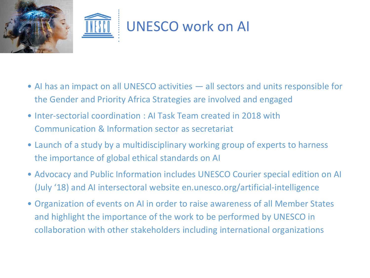

- AI has an impact on all UNESCO activities all sectors and units responsible for the Gender and Priority Africa Strategies are involved and engaged
- Inter-sectorial coordination : AI Task Team created in 2018 with Communication & Information sector as secretariat
- Launch of a study by a multidisciplinary working group of experts to harness the importance of global ethical standards on AI
- Advocacy and Public Information includes UNESCO Courier special edition on AI (July '18) and AI intersectoral website en.unesco.org/artificial-intelligence
- Organization of events on AI in order to raise awareness of all Member States and highlight the importance of the work to be performed by UNESCO in collaboration with other stakeholders including international organizations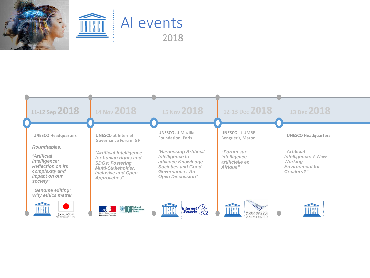

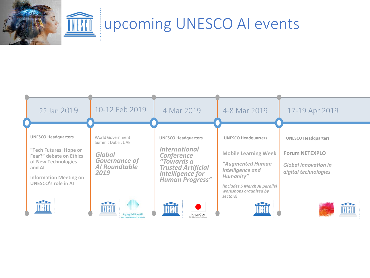

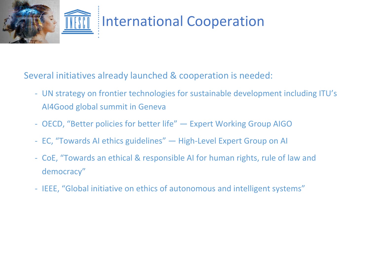

Several initiatives already launched & cooperation is needed:

- UN strategy on frontier technologies for sustainable development including ITU's AI4Good global summit in Geneva
- OECD, "Better policies for better life" Expert Working Group AIGO
- EC, "Towards AI ethics guidelines" High-Level Expert Group on AI
- CoE, "Towards an ethical & responsible AI for human rights, rule of law and democracy"
- IEEE, "Global initiative on ethics of autonomous and intelligent systems"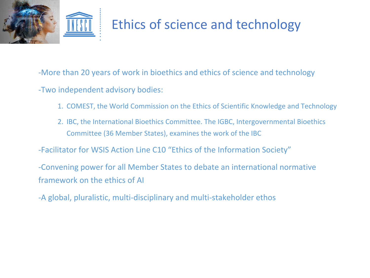

-More than 20 years of work in bioethics and ethics of science and technology -Two independent advisory bodies:

- 1. COMEST, the World Commission on the Ethics of Scientific Knowledge and Technology
- 2. IBC, the International Bioethics Committee. The IGBC, Intergovernmental Bioethics Committee (36 Member States), examines the work of the IBC

-Facilitator for WSIS Action Line C10 "Ethics of the Information Society"

-Convening power for all Member States to debate an international normative framework on the ethics of AI

-A global, pluralistic, multi-disciplinary and multi-stakeholder ethos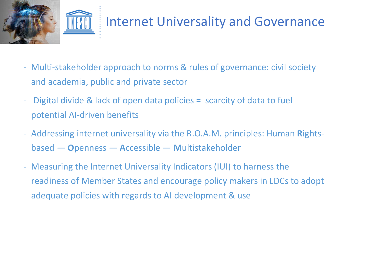

#### Internet Universality and Governance

- Multi-stakeholder approach to norms & rules of governance: civil society and academia, public and private sector
- Digital divide & lack of open data policies = scarcity of data to fuel potential AI-driven benefits
- Addressing internet universality via the R.O.A.M. principles: Human **R**ightsbased — **O**penness — **A**ccessible — **M**ultistakeholder
- Measuring the Internet Universality Indicators (IUI) to harness the readiness of Member States and encourage policy makers in LDCs to adopt adequate policies with regards to AI development & use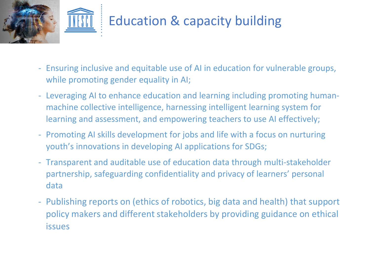

## Education & capacity building

- Ensuring inclusive and equitable use of AI in education for vulnerable groups, while promoting gender equality in AI;
- Leveraging AI to enhance education and learning including promoting humanmachine collective intelligence, harnessing intelligent learning system for learning and assessment, and empowering teachers to use AI effectively;
- Promoting AI skills development for jobs and life with a focus on nurturing youth's innovations in developing AI applications for SDGs;
- Transparent and auditable use of education data through multi-stakeholder partnership, safeguarding confidentiality and privacy of learners' personal data
- Publishing reports on (ethics of robotics, big data and health) that support policy makers and different stakeholders by providing guidance on ethical issues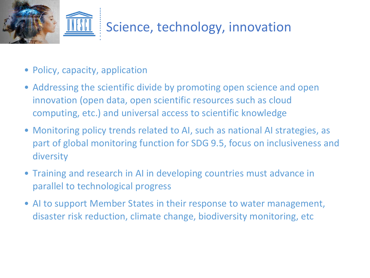

- Policy, capacity, application
- Addressing the scientific divide by promoting open science and open innovation (open data, open scientific resources such as cloud computing, etc.) and universal access to scientific knowledge
- Monitoring policy trends related to AI, such as national AI strategies, as part of global monitoring function for SDG 9.5, focus on inclusiveness and diversity
- Training and research in AI in developing countries must advance in parallel to technological progress
- AI to support Member States in their response to water management, disaster risk reduction, climate change, biodiversity monitoring, etc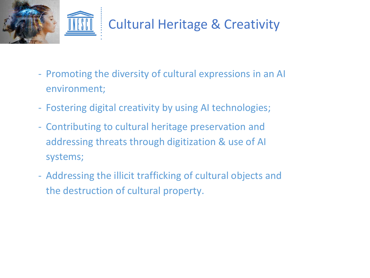

- Promoting the diversity of cultural expressions in an AI environment;
- Fostering digital creativity by using AI technologies;
- Contributing to cultural heritage preservation and addressing threats through digitization & use of AI systems;
- Addressing the illicit trafficking of cultural objects and the destruction of cultural property.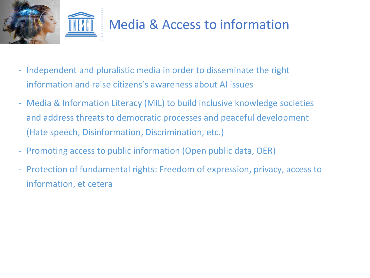

- Independent and pluralistic media in order to disseminate the right information and raise citizens's awareness about AI issues
- Media & Information Literacy (MIL) to build inclusive knowledge societies and address threats to democratic processes and peaceful development (Hate speech, Disinformation, Discrimination, etc.)
- Promoting access to public information (Open public data, OER)
- Protection of fundamental rights: Freedom of expression, privacy, access to information, et cetera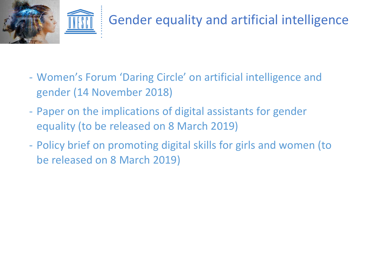![](_page_12_Picture_0.jpeg)

- Women's Forum 'Daring Circle' on artificial intelligence and gender (14 November 2018)
- Paper on the implications of digital assistants for gender equality (to be released on 8 March 2019)
- Policy brief on promoting digital skills for girls and women (to be released on 8 March 2019)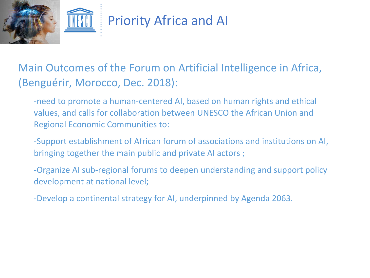![](_page_13_Picture_0.jpeg)

Main Outcomes of the Forum on Artificial Intelligence in Africa, (Benguérir, Morocco, Dec. 2018):

-need to promote a human-centered AI, based on human rights and ethical values, and calls for collaboration between UNESCO the African Union and Regional Economic Communities to:

-Support establishment of African forum of associations and institutions on AI, bringing together the main public and private AI actors ;

-Organize AI sub-regional forums to deepen understanding and support policy development at national level;

-Develop a continental strategy for AI, underpinned by Agenda 2063.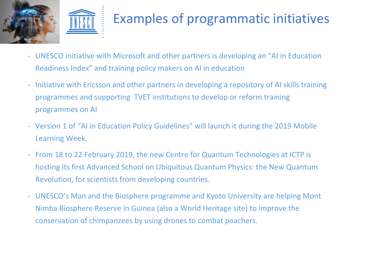![](_page_14_Picture_0.jpeg)

## Examples of programmatic initiatives

- UNESCO initiative with Microsoft and other partners is developing an "AI in Education Readiness Index" and training policy makers on AI in education
- Initiative with Ericsson and other partners in developing a repository of AI skills training programmes and supporting TVET institutions to develop or reform training programmes on AI
- Version 1 of "AI in Education Policy Guidelines" will launch it during the 2019 Mobile Learning Week.
- From 18 to 22 February 2019, the new Centre for Quantum Technologies at ICTP is hosting its first Advanced School on Ubiquitous Quantum Physics: the New Quantum Revolution, for scientists from developing countries.
- UNESCO's Man and the Biosphere programme and Kyoto University are helping Mont Nimba Biosphere Reserve in Guinea (also a World Heritage site) to improve the conservation of chimpanzees by using drones to combat poachers.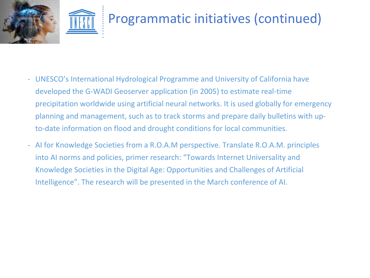![](_page_15_Picture_0.jpeg)

![](_page_15_Picture_1.jpeg)

- UNESCO's International Hydrological Programme and University of California have developed the G-WADI Geoserver application (in 2005) to estimate real-time precipitation worldwide using artificial neural networks. It is used globally for emergency planning and management, such as to track storms and prepare daily bulletins with upto-date information on flood and drought conditions for local communities.
- AI for Knowledge Societies from a R.O.A.M perspective. Translate R.O.A.M. principles into AI norms and policies, primer research: "Towards Internet Universality and Knowledge Societies in the Digital Age: Opportunities and Challenges of Artificial Intelligence". The research will be presented in the March conference of AI.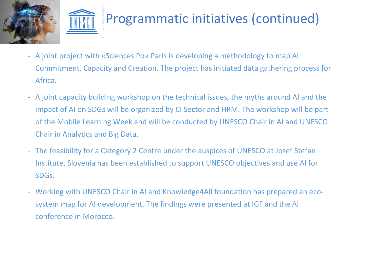![](_page_16_Picture_0.jpeg)

![](_page_16_Picture_1.jpeg)

# Programmatic initiatives (continued)

- A joint project with «Sciences Po» Paris is developing a methodology to map AI Commitment, Capacity and Creation. The project has initiated data gathering process for Africa.
- A joint capacity building workshop on the technical issues, the myths around AI and the impact of AI on SDGs will be organized by CI Sector and HRM. The workshop will be part of the Mobile Learning Week and will be conducted by UNESCO Chair in AI and UNESCO Chair in Analytics and Big Data.
- The feasibility for a Category 2 Centre under the auspices of UNESCO at Josef Stefan Institute, Slovenia has been established to support UNESCO objectives and use AI for SDGs.
- Working with UNESCO Chair in AI and Knowledge4All foundation has prepared an ecosystem map for AI development. The findings were presented at IGF and the AI conference in Morocco.